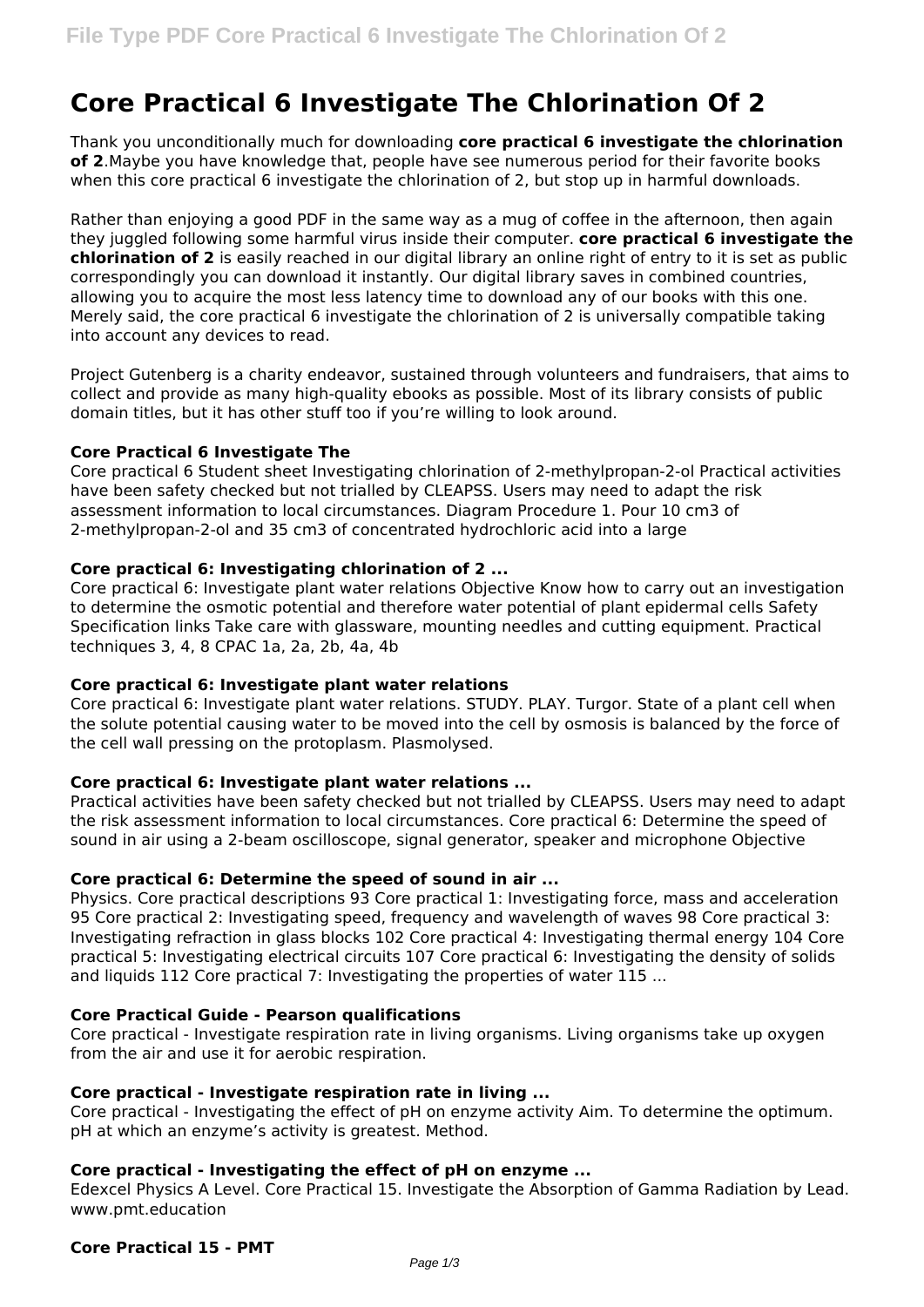# **Core Practical 6 Investigate The Chlorination Of 2**

Thank you unconditionally much for downloading **core practical 6 investigate the chlorination of 2**.Maybe you have knowledge that, people have see numerous period for their favorite books when this core practical 6 investigate the chlorination of 2, but stop up in harmful downloads.

Rather than enjoying a good PDF in the same way as a mug of coffee in the afternoon, then again they juggled following some harmful virus inside their computer. **core practical 6 investigate the chlorination of 2** is easily reached in our digital library an online right of entry to it is set as public correspondingly you can download it instantly. Our digital library saves in combined countries, allowing you to acquire the most less latency time to download any of our books with this one. Merely said, the core practical 6 investigate the chlorination of 2 is universally compatible taking into account any devices to read.

Project Gutenberg is a charity endeavor, sustained through volunteers and fundraisers, that aims to collect and provide as many high-quality ebooks as possible. Most of its library consists of public domain titles, but it has other stuff too if you're willing to look around.

## **Core Practical 6 Investigate The**

Core practical 6 Student sheet Investigating chlorination of 2-methylpropan-2-ol Practical activities have been safety checked but not trialled by CLEAPSS. Users may need to adapt the risk assessment information to local circumstances. Diagram Procedure 1. Pour 10 cm3 of 2-methylpropan-2-ol and 35 cm3 of concentrated hydrochloric acid into a large

## **Core practical 6: Investigating chlorination of 2 ...**

Core practical 6: Investigate plant water relations Objective Know how to carry out an investigation to determine the osmotic potential and therefore water potential of plant epidermal cells Safety Specification links Take care with glassware, mounting needles and cutting equipment. Practical techniques 3, 4, 8 CPAC 1a, 2a, 2b, 4a, 4b

## **Core practical 6: Investigate plant water relations**

Core practical 6: Investigate plant water relations. STUDY. PLAY. Turgor. State of a plant cell when the solute potential causing water to be moved into the cell by osmosis is balanced by the force of the cell wall pressing on the protoplasm. Plasmolysed.

## **Core practical 6: Investigate plant water relations ...**

Practical activities have been safety checked but not trialled by CLEAPSS. Users may need to adapt the risk assessment information to local circumstances. Core practical 6: Determine the speed of sound in air using a 2-beam oscilloscope, signal generator, speaker and microphone Objective

## **Core practical 6: Determine the speed of sound in air ...**

Physics. Core practical descriptions 93 Core practical 1: Investigating force, mass and acceleration 95 Core practical 2: Investigating speed, frequency and wavelength of waves 98 Core practical 3: Investigating refraction in glass blocks 102 Core practical 4: Investigating thermal energy 104 Core practical 5: Investigating electrical circuits 107 Core practical 6: Investigating the density of solids and liquids 112 Core practical 7: Investigating the properties of water 115 ...

## **Core Practical Guide - Pearson qualifications**

Core practical - Investigate respiration rate in living organisms. Living organisms take up oxygen from the air and use it for aerobic respiration.

## **Core practical - Investigate respiration rate in living ...**

Core practical - Investigating the effect of pH on enzyme activity Aim. To determine the optimum. pH at which an enzyme's activity is greatest. Method.

## **Core practical - Investigating the effect of pH on enzyme ...**

Edexcel Physics A Level. Core Practical 15. Investigate the Absorption of Gamma Radiation by Lead. www.pmt.education

## **Core Practical 15 - PMT**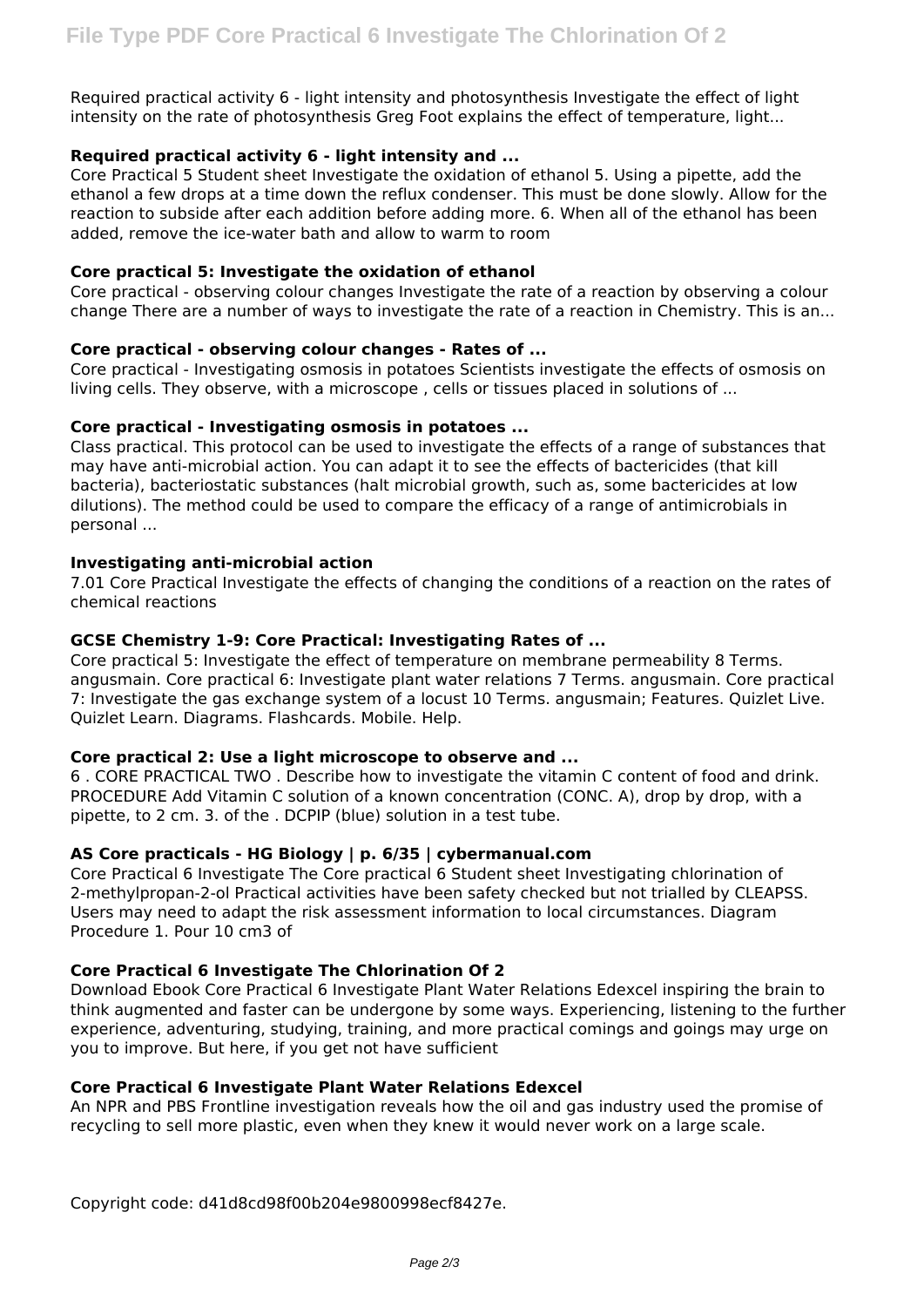Required practical activity 6 - light intensity and photosynthesis Investigate the effect of light intensity on the rate of photosynthesis Greg Foot explains the effect of temperature, light...

## **Required practical activity 6 - light intensity and ...**

Core Practical 5 Student sheet Investigate the oxidation of ethanol 5. Using a pipette, add the ethanol a few drops at a time down the reflux condenser. This must be done slowly. Allow for the reaction to subside after each addition before adding more. 6. When all of the ethanol has been added, remove the ice-water bath and allow to warm to room

## **Core practical 5: Investigate the oxidation of ethanol**

Core practical - observing colour changes Investigate the rate of a reaction by observing a colour change There are a number of ways to investigate the rate of a reaction in Chemistry. This is an...

## **Core practical - observing colour changes - Rates of ...**

Core practical - Investigating osmosis in potatoes Scientists investigate the effects of osmosis on living cells. They observe, with a microscope , cells or tissues placed in solutions of ...

## **Core practical - Investigating osmosis in potatoes ...**

Class practical. This protocol can be used to investigate the effects of a range of substances that may have anti-microbial action. You can adapt it to see the effects of bactericides (that kill bacteria), bacteriostatic substances (halt microbial growth, such as, some bactericides at low dilutions). The method could be used to compare the efficacy of a range of antimicrobials in personal ...

#### **Investigating anti-microbial action**

7.01 Core Practical Investigate the effects of changing the conditions of a reaction on the rates of chemical reactions

## **GCSE Chemistry 1-9: Core Practical: Investigating Rates of ...**

Core practical 5: Investigate the effect of temperature on membrane permeability 8 Terms. angusmain. Core practical 6: Investigate plant water relations 7 Terms. angusmain. Core practical 7: Investigate the gas exchange system of a locust 10 Terms. angusmain; Features. Quizlet Live. Quizlet Learn. Diagrams. Flashcards. Mobile. Help.

## **Core practical 2: Use a light microscope to observe and ...**

6 . CORE PRACTICAL TWO . Describe how to investigate the vitamin C content of food and drink. PROCEDURE Add Vitamin C solution of a known concentration (CONC. A), drop by drop, with a pipette, to 2 cm. 3. of the . DCPIP (blue) solution in a test tube.

## **AS Core practicals - HG Biology | p. 6/35 | cybermanual.com**

Core Practical 6 Investigate The Core practical 6 Student sheet Investigating chlorination of 2-methylpropan-2-ol Practical activities have been safety checked but not trialled by CLEAPSS. Users may need to adapt the risk assessment information to local circumstances. Diagram Procedure 1. Pour 10 cm3 of

## **Core Practical 6 Investigate The Chlorination Of 2**

Download Ebook Core Practical 6 Investigate Plant Water Relations Edexcel inspiring the brain to think augmented and faster can be undergone by some ways. Experiencing, listening to the further experience, adventuring, studying, training, and more practical comings and goings may urge on you to improve. But here, if you get not have sufficient

## **Core Practical 6 Investigate Plant Water Relations Edexcel**

An NPR and PBS Frontline investigation reveals how the oil and gas industry used the promise of recycling to sell more plastic, even when they knew it would never work on a large scale.

Copyright code: d41d8cd98f00b204e9800998ecf8427e.